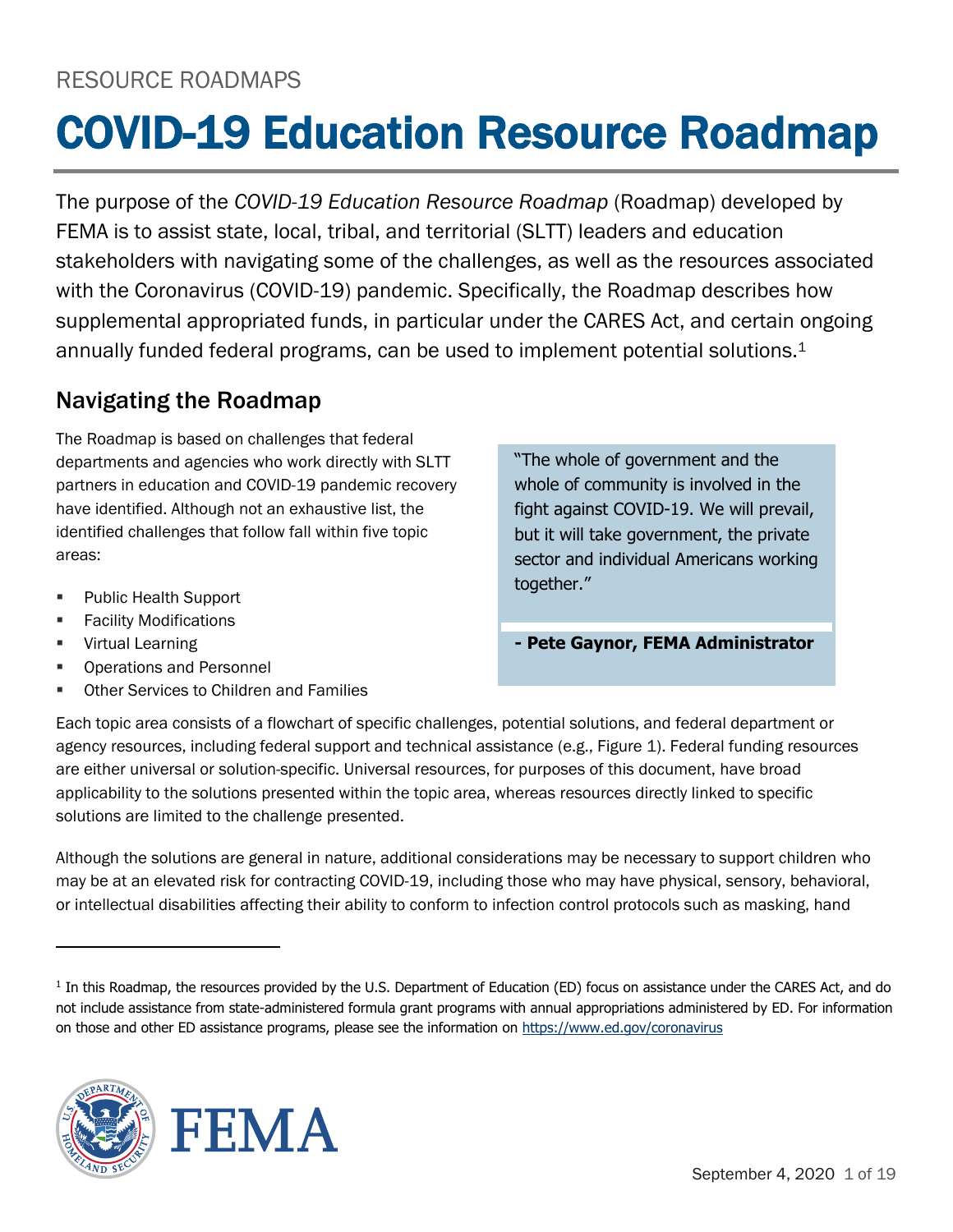# COVID-19 Education Resource Roadmap

The purpose of the *COVID-19 Education Resource Roadmap* (Roadmap) developed by FEMA is to assist state, local, tribal, and territorial (SLTT) leaders and education stakeholders with navigating some of the challenges, as well as the resources associated with the Coronavirus (COVID-19) pandemic. Specifically, the Roadmap describes how supplemental appropriated funds, in particular under the CARES Act, and certain ongoing annually funded federal programs, can be used to implement potential solutions.<sup>1</sup>

#### Navigating the Roadmap

The Roadmap is based on challenges that federal departments and agencies who work directly with SLTT partners in education and COVID-19 pandemic recovery have identified. Although not an exhaustive list, the identified challenges that follow fall within five topic areas:

- Public Health Support
- **Facility Modifications**
- Virtual Learning
- Operations and Personnel
- Other Services to Children and Families

"The whole of government and the whole of community is involved in the fight against COVID-19. We will prevail, but it will take government, the private sector and individual Americans working together."

**- Pete Gaynor, FEMA Administrator**

Each topic area consists of a flowchart of specific challenges, potential solutions, and federal department or agency resources, including federal support and technical assistance (e.g., Figure 1). Federal funding resources are either universal or solution-specific. Universal resources, for purposes of this document, have broad applicability to the solutions presented within the topic area, whereas resources directly linked to specific solutions are limited to the challenge presented.

Although the solutions are general in nature, additional considerations may be necessary to support children who may be at an elevated risk for contracting COVID-19, including those who may have physical, sensory, behavioral, or intellectual disabilities affecting their ability to conform to infection control protocols such as masking, hand

<sup>&</sup>lt;sup>1</sup> In this Roadmap, the resources provided by the U.S. Department of Education (ED) focus on assistance under the CARES Act, and do not include assistance from state-administered formula grant programs with annual appropriations administered by ED. For information on those and other ED assistance programs, please see the information on<https://www.ed.gov/coronavirus>



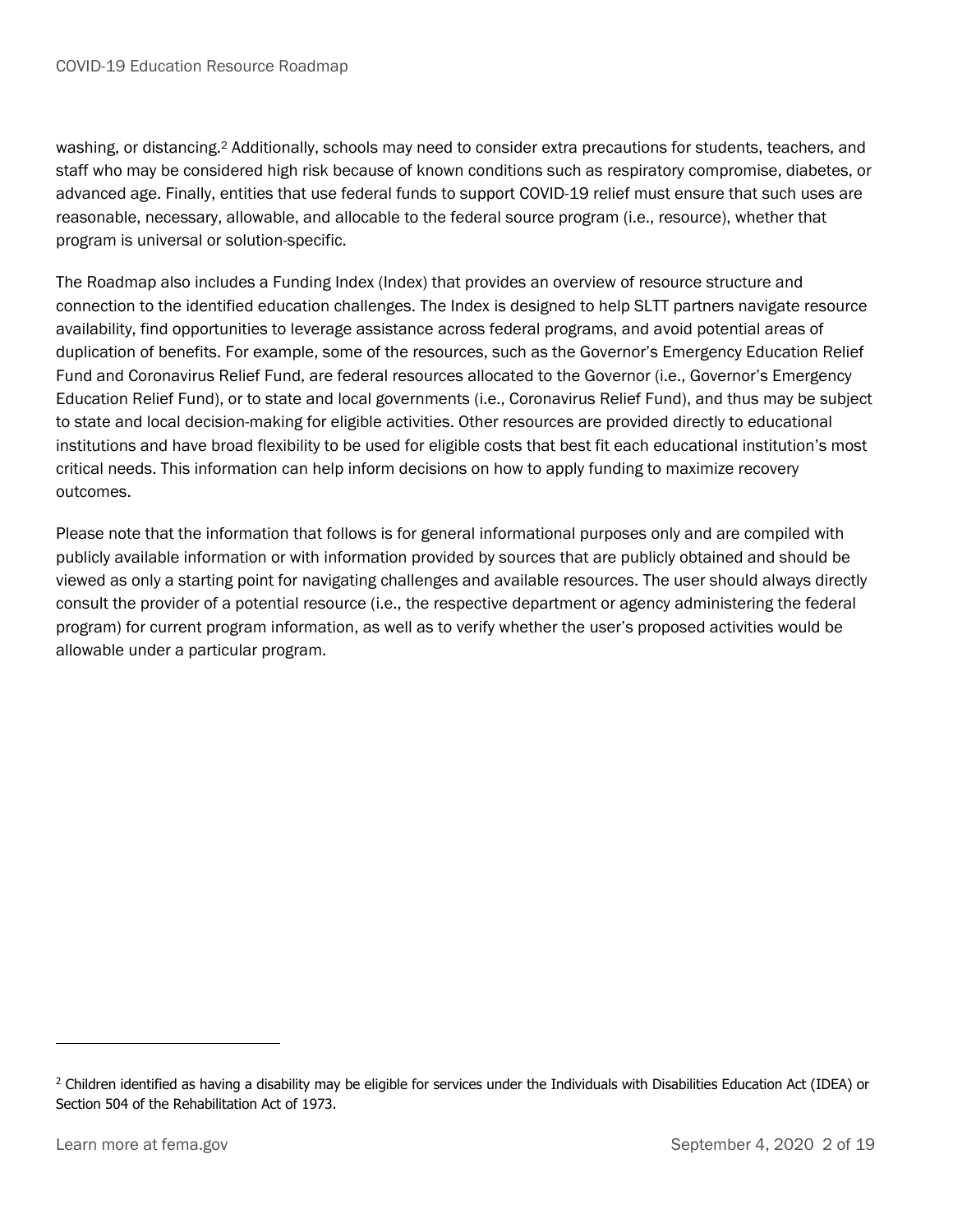washing, or distancing.<sup>2</sup> Additionally, schools may need to consider extra precautions for students, teachers, and staff who may be considered high risk because of known conditions such as respiratory compromise, diabetes, or advanced age. Finally, entities that use federal funds to support COVID-19 relief must ensure that such uses are reasonable, necessary, allowable, and allocable to the federal source program (i.e., resource), whether that program is universal or solution-specific.

The Roadmap also includes a Funding Index (Index) that provides an overview of resource structure and connection to the identified education challenges. The Index is designed to help SLTT partners navigate resource availability, find opportunities to leverage assistance across federal programs, and avoid potential areas of duplication of benefits. For example, some of the resources, such as the Governor's Emergency Education Relief Fund and Coronavirus Relief Fund, are federal resources allocated to the Governor (i.e., Governor's Emergency Education Relief Fund), or to state and local governments (i.e., Coronavirus Relief Fund), and thus may be subject to state and local decision-making for eligible activities. Other resources are provided directly to educational institutions and have broad flexibility to be used for eligible costs that best fit each educational institution's most critical needs. This information can help inform decisions on how to apply funding to maximize recovery outcomes.

Please note that the information that follows is for general informational purposes only and are compiled with publicly available information or with information provided by sources that are publicly obtained and should be viewed as only a starting point for navigating challenges and available resources. The user should always directly consult the provider of a potential resource (i.e., the respective department or agency administering the federal program) for current program information, as well as to verify whether the user's proposed activities would be allowable under a particular program.

<sup>&</sup>lt;sup>2</sup> Children identified as having a disability may be eligible for services under the Individuals with Disabilities Education Act (IDEA) or Section 504 of the Rehabilitation Act of 1973.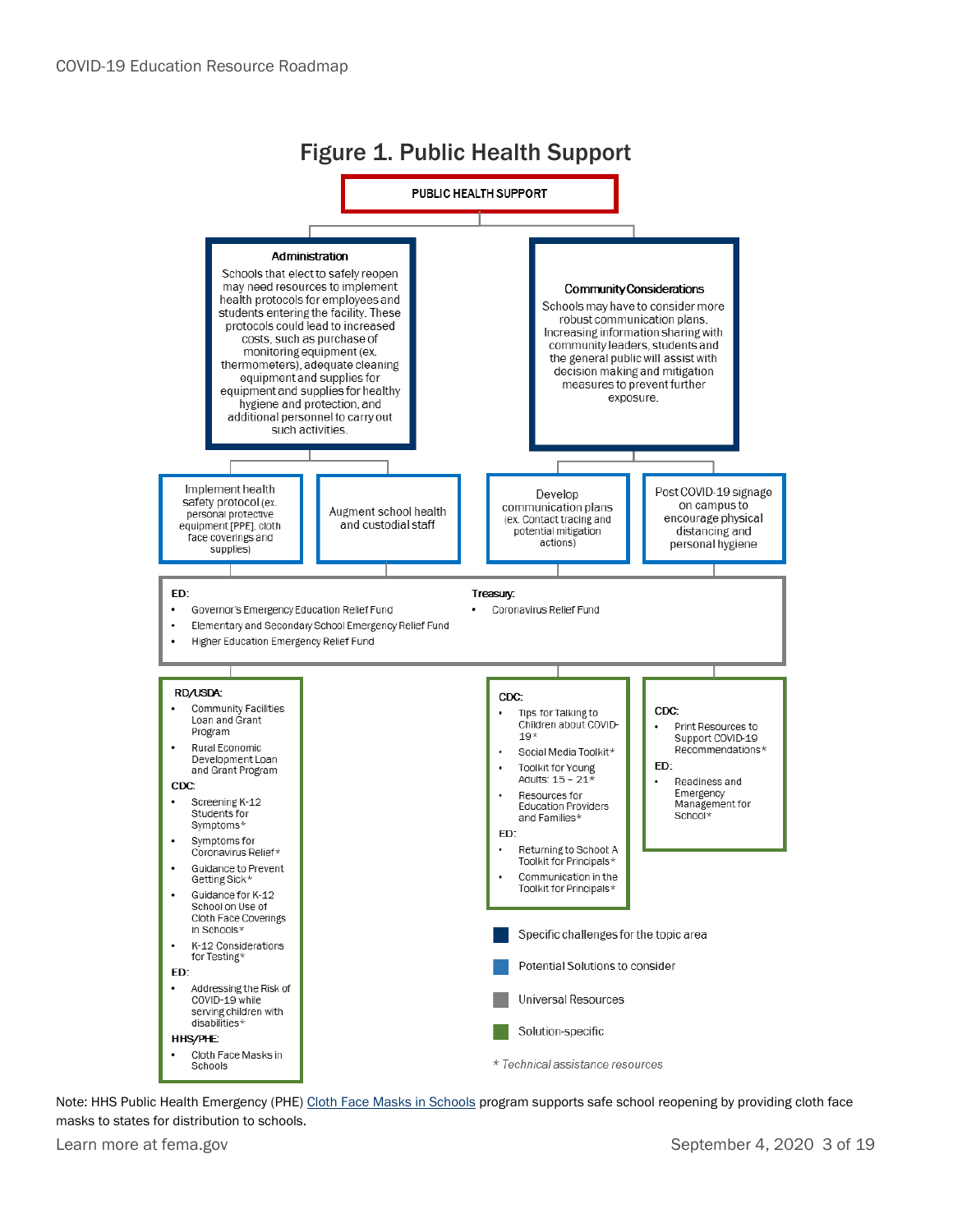

Note: HHS Public Health Emergency (PHE[\) Cloth Face Masks in Schools](https://www.phe.gov/facecovering/Pages/State-Allocations.aspx) program supports safe school reopening by providing cloth face masks to states for distribution to schools.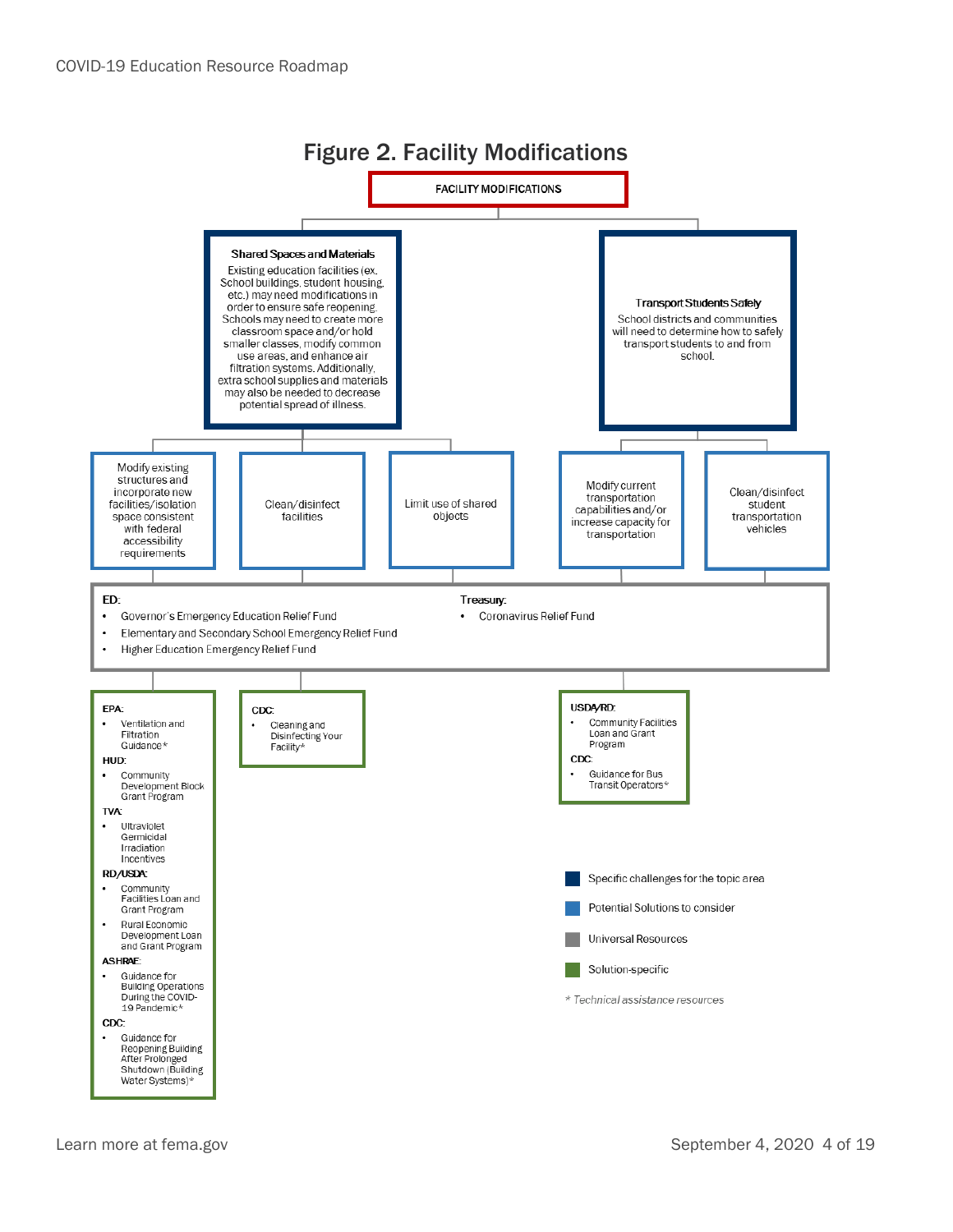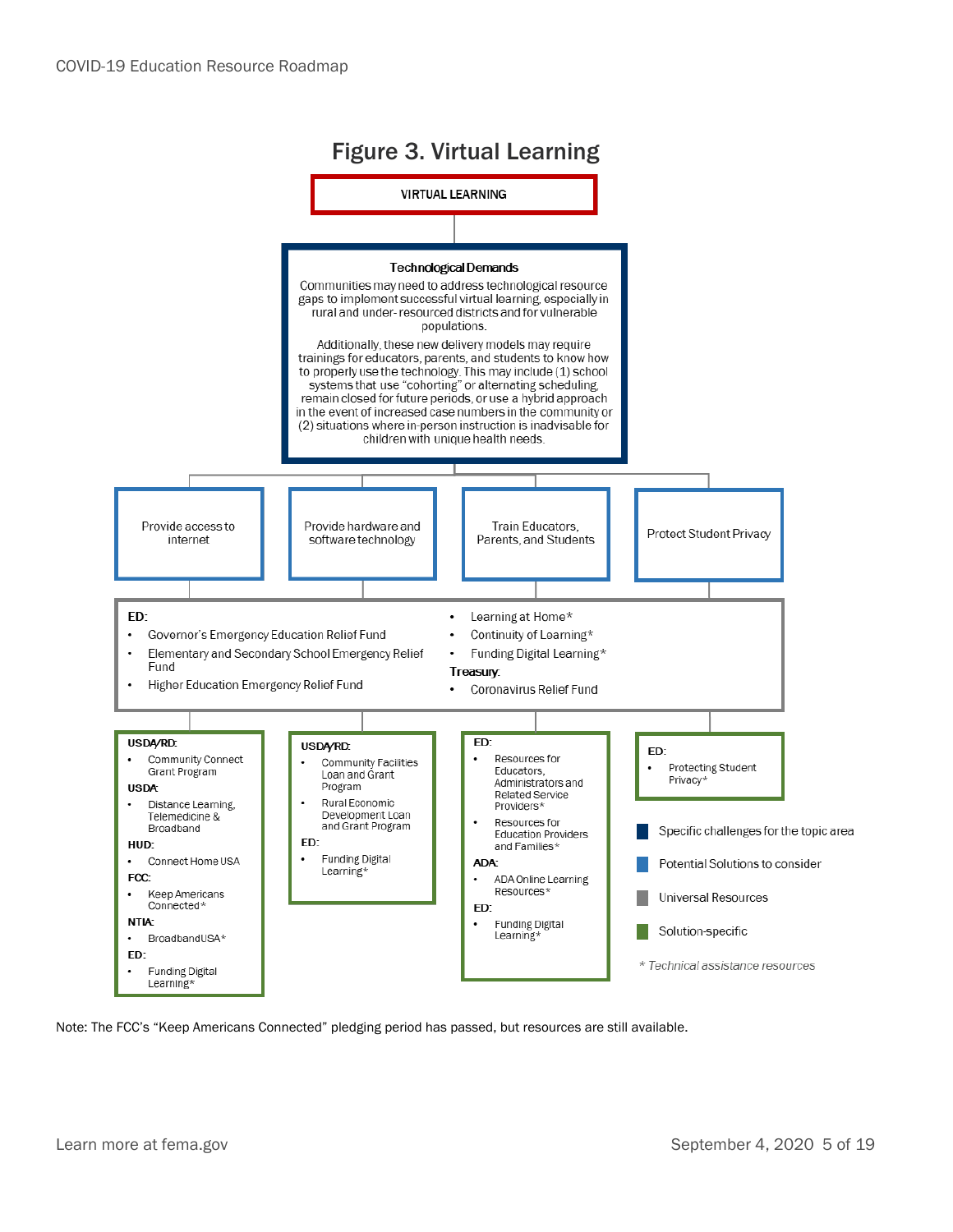

Note: The FCC's "Keep Americans Connected" pledging period has passed, but resources are still available.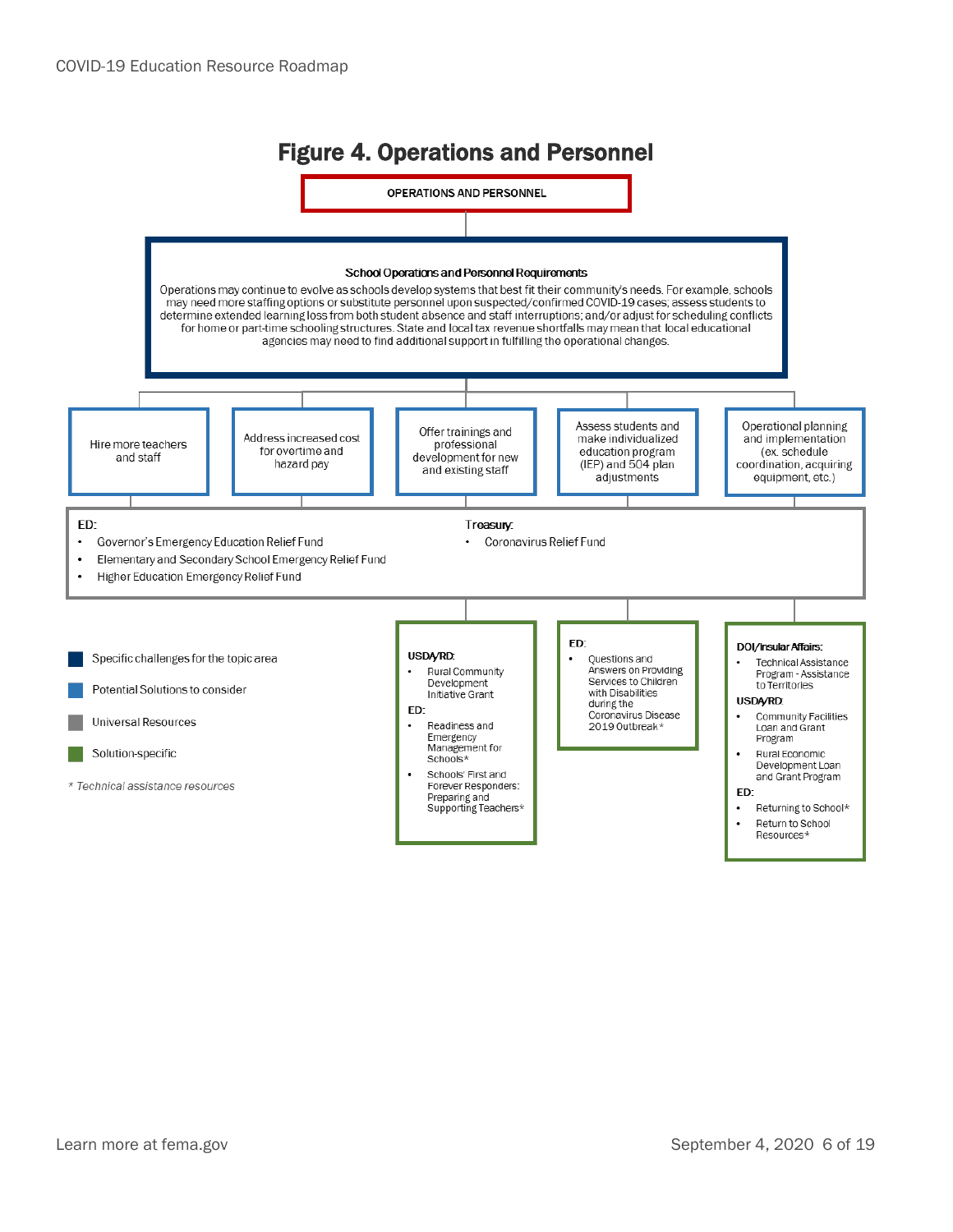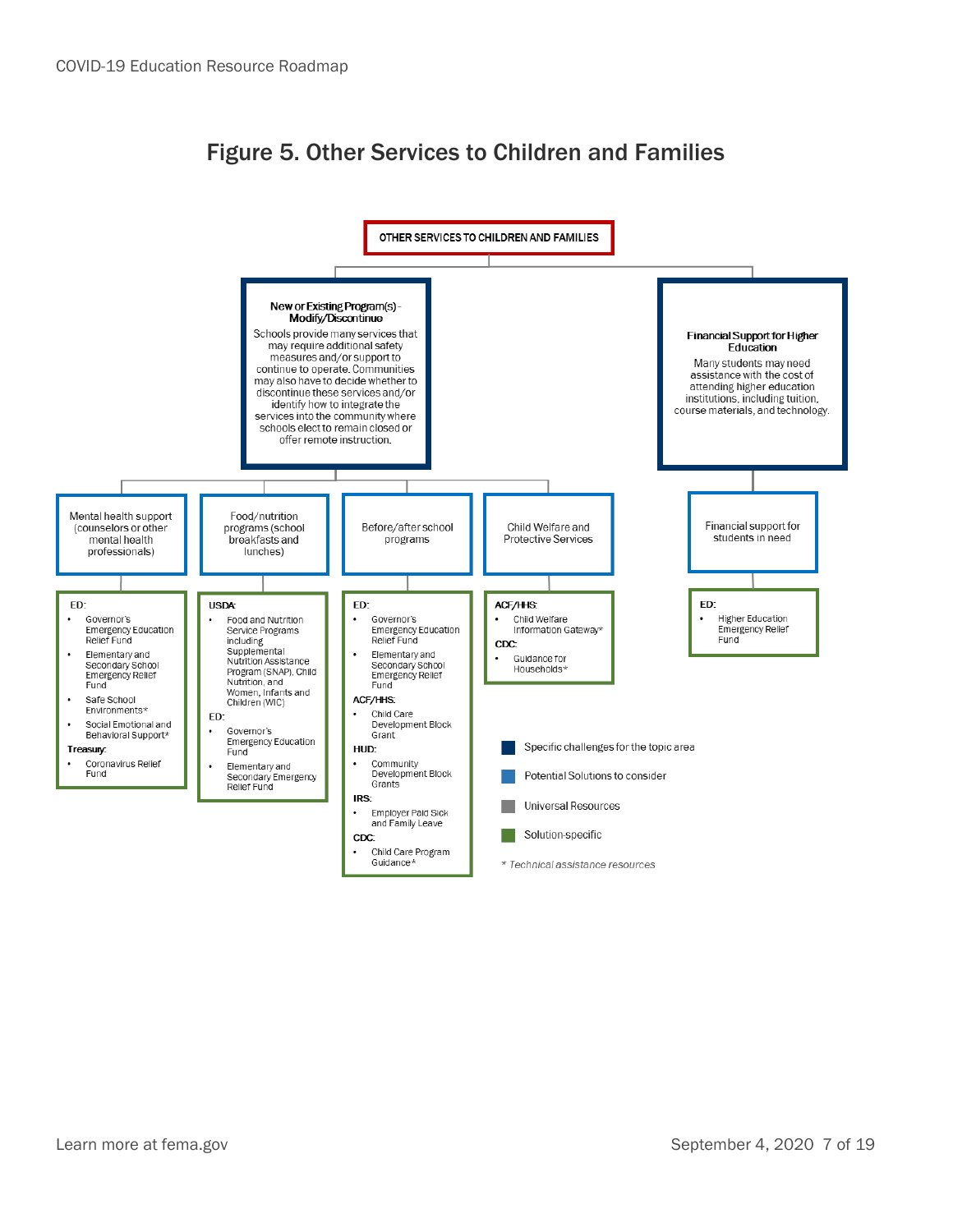#### Figure 5. Other Services to Children and Families

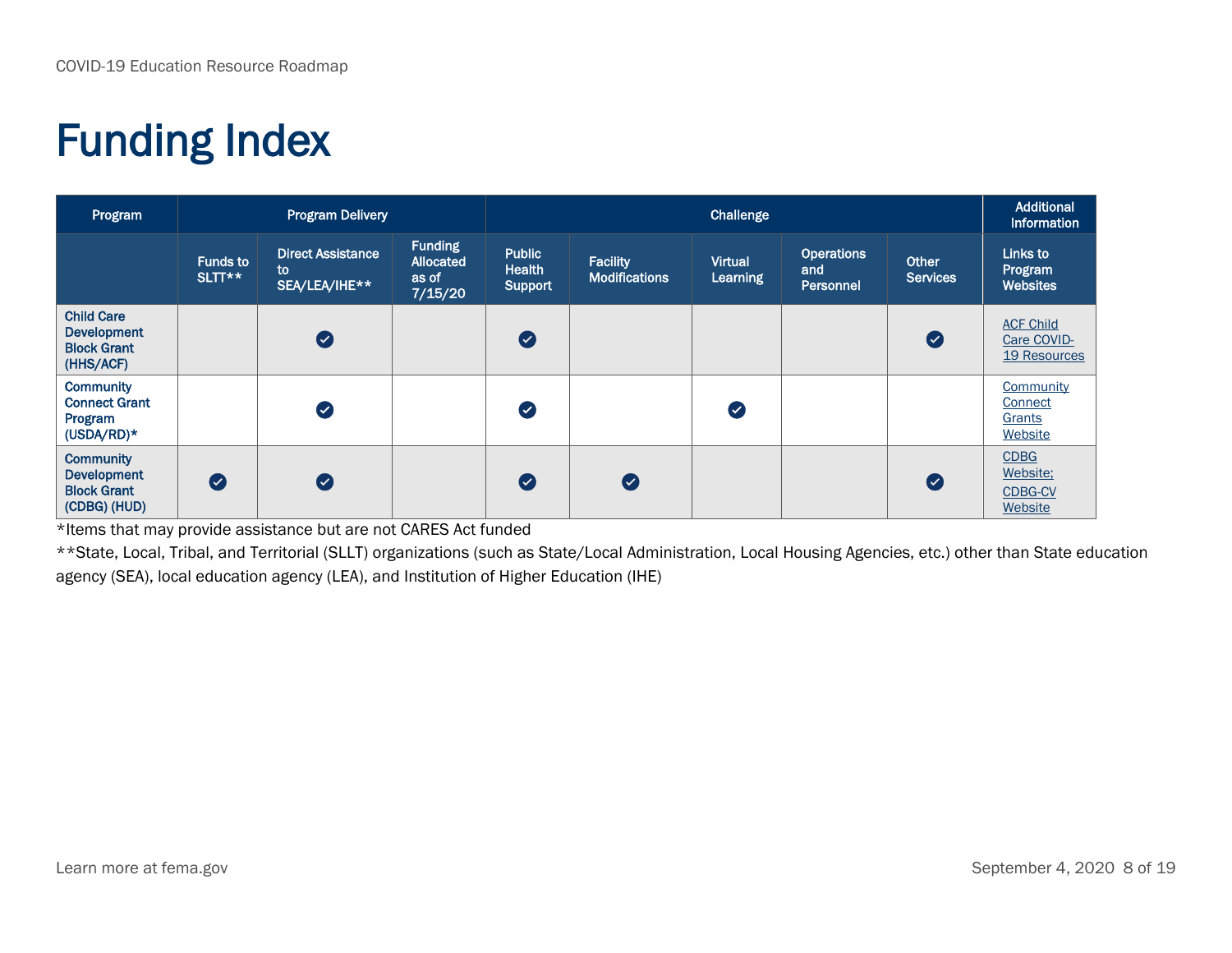### Funding Index

| Program                                                                      | <b>Program Delivery</b>   |                                                 |                                                 |                                    | Additional<br><b>Information</b>        |                                   |                                       |                          |                                                      |
|------------------------------------------------------------------------------|---------------------------|-------------------------------------------------|-------------------------------------------------|------------------------------------|-----------------------------------------|-----------------------------------|---------------------------------------|--------------------------|------------------------------------------------------|
|                                                                              | <b>Funds to</b><br>SLTT** | <b>Direct Assistance</b><br>to<br>SEA/LEA/IHE** | <b>Funding</b><br>Allocated<br>as of<br>7/15/20 | <b>Public</b><br>Health<br>Support | <b>Facility</b><br><b>Modifications</b> | <b>Virtual</b><br><b>Learning</b> | <b>Operations</b><br>and<br>Personnel | Other<br><b>Services</b> | Links to<br>Program<br><b>Websites</b>               |
| <b>Child Care</b><br><b>Development</b><br><b>Block Grant</b><br>(HHS/ACF)   |                           | $\bullet$                                       |                                                 | $\bullet$                          |                                         |                                   |                                       | Ø                        | <b>ACF Child</b><br>Care COVID-<br>19 Resources      |
| <b>Community</b><br><b>Connect Grant</b><br>Program<br>$(USDA/RD)*$          |                           | $\bullet$                                       |                                                 | Ø                                  |                                         | Ø                                 |                                       |                          | Community<br>Connect<br>Grants<br>Website            |
| <b>Community</b><br><b>Development</b><br><b>Block Grant</b><br>(CDBG) (HUD) | Ø                         | $\bullet$                                       |                                                 | $\bullet$                          | Ø                                       |                                   |                                       | Ø                        | <b>CDBG</b><br>Website:<br><b>CDBG-CV</b><br>Website |

\*Items that may provide assistance but are not CARES Act funded

\*\*State, Local, Tribal, and Territorial (SLLT) organizations (such as State/Local Administration, Local Housing Agencies, etc.) other than State education agency (SEA), local education agency (LEA), and Institution of Higher Education (IHE)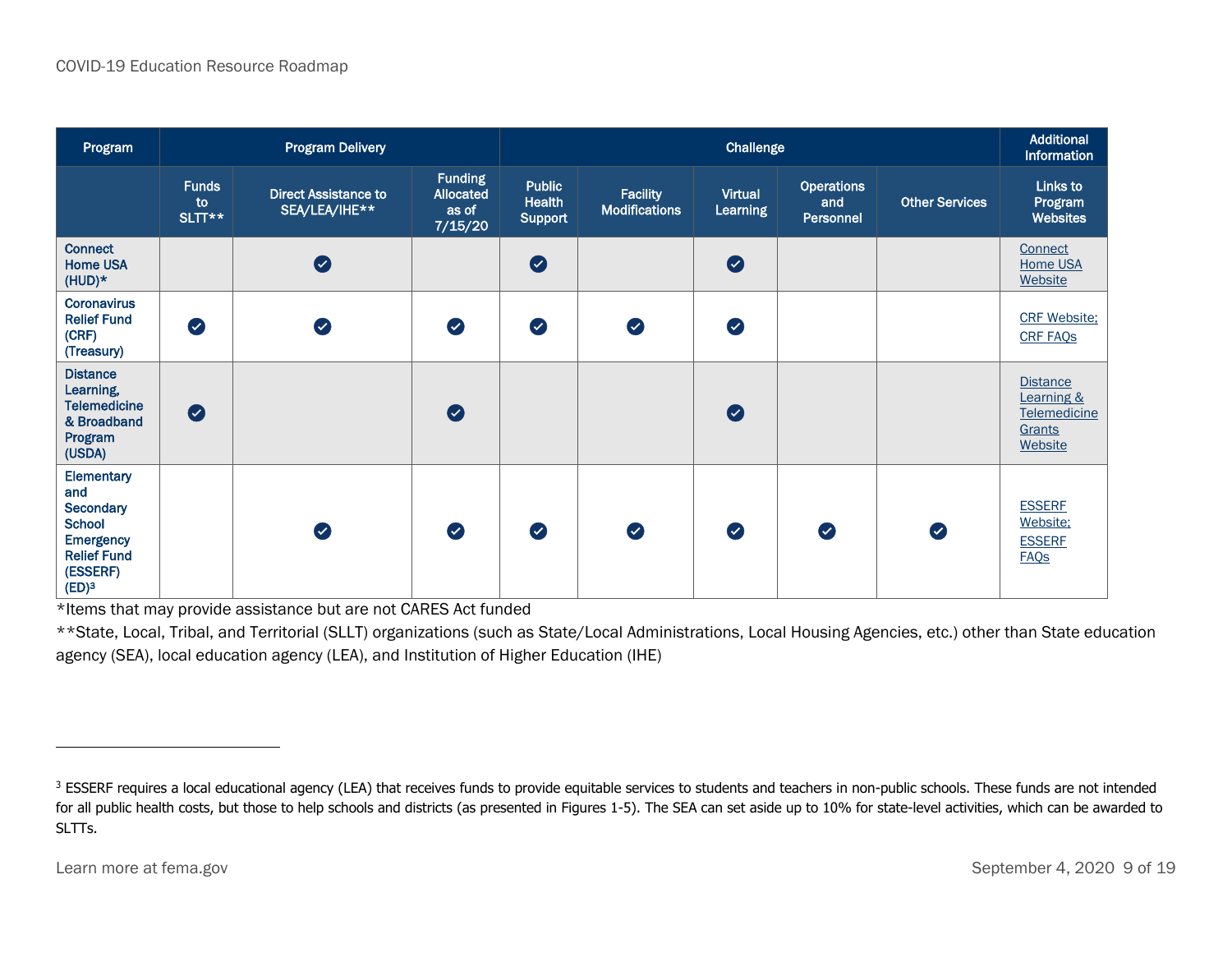| Program                                                                                                                    | <b>Program Delivery</b>      |                                              |                                                 |                                                  | Additional<br><b>Information</b>        |                            |                                       |                       |                                                                      |
|----------------------------------------------------------------------------------------------------------------------------|------------------------------|----------------------------------------------|-------------------------------------------------|--------------------------------------------------|-----------------------------------------|----------------------------|---------------------------------------|-----------------------|----------------------------------------------------------------------|
|                                                                                                                            | <b>Funds</b><br>to<br>SLTT** | <b>Direct Assistance to</b><br>SEA/LEA/IHE** | <b>Funding</b><br>Allocated<br>as of<br>7/15/20 | <b>Public</b><br><b>Health</b><br><b>Support</b> | <b>Facility</b><br><b>Modifications</b> | <b>Virtual</b><br>Learning | <b>Operations</b><br>and<br>Personnel | <b>Other Services</b> | Links to<br>Program<br><b>Websites</b>                               |
| <b>Connect</b><br><b>Home USA</b><br>$(HUD)*$                                                                              |                              | $\bullet$                                    |                                                 | $\bullet$                                        |                                         | $\bullet$                  |                                       |                       | Connect<br><b>Home USA</b><br>Website                                |
| <b>Coronavirus</b><br><b>Relief Fund</b><br>(CRF)<br>(Treasury)                                                            | $\bullet$                    | $\bullet$                                    | $\bullet$                                       | $\bullet$                                        | $\bullet$                               | $\bullet$                  |                                       |                       | <b>CRF Website;</b><br><b>CRF FAQS</b>                               |
| <b>Distance</b><br>Learning,<br><b>Telemedicine</b><br>& Broadband<br>Program<br>(USDA)                                    | $\bullet$                    |                                              | $\bullet$                                       |                                                  |                                         | $\bullet$                  |                                       |                       | <b>Distance</b><br>Learning &<br>Telemedicine<br>Grants<br>Website   |
| Elementary<br>and<br>Secondary<br><b>School</b><br><b>Emergency</b><br><b>Relief Fund</b><br>(ESSERF)<br>(ED) <sup>3</sup> |                              | $\bullet$                                    | $\bullet$                                       | $\bullet$                                        | $\bullet$                               | Ø                          | Ø                                     | $\bullet$             | <b>ESSERF</b><br>Website:<br><b>ESSERF</b><br><b>FAQ<sub>S</sub></b> |

\*Items that may provide assistance but are not CARES Act funded

\*\*State, Local, Tribal, and Territorial (SLLT) organizations (such as State/Local Administrations, Local Housing Agencies, etc.) other than State education agency (SEA), local education agency (LEA), and Institution of Higher Education (IHE)

<sup>&</sup>lt;sup>3</sup> ESSERF requires a local educational agency (LEA) that receives funds to provide equitable services to students and teachers in non-public schools. These funds are not intended for all public health costs, but those to help schools and districts (as presented in Figures 1-5). The SEA can set aside up to 10% for state-level activities, which can be awarded to SLTTs.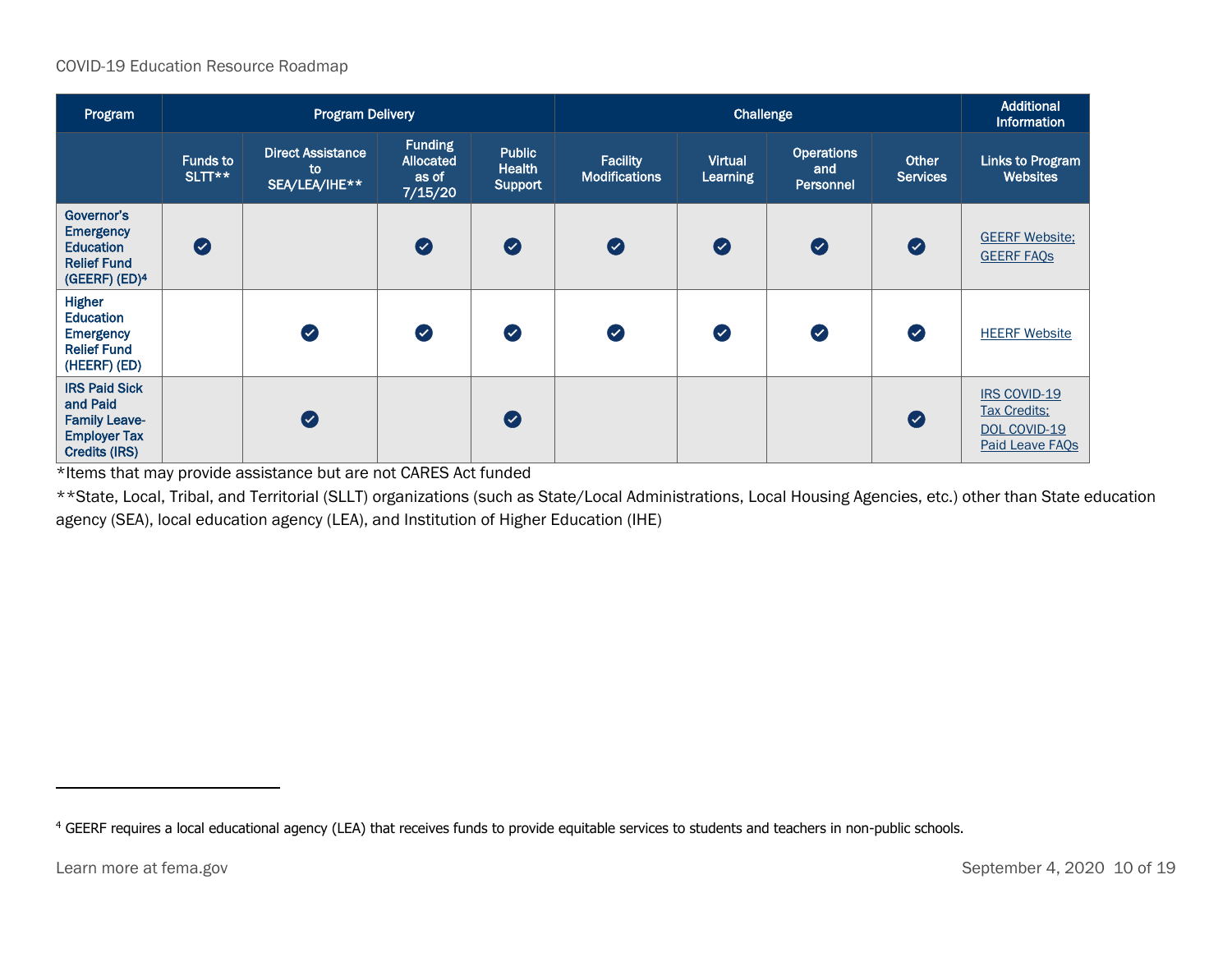#### COVID-19 Education Resource Roadmap

| Program                                                                                                 |                           | <b>Program Delivery</b>                         |                                                 |                                           | Challenge                               |                                   |                                       |                                 | <b>Additional</b><br><b>Information</b>                                |
|---------------------------------------------------------------------------------------------------------|---------------------------|-------------------------------------------------|-------------------------------------------------|-------------------------------------------|-----------------------------------------|-----------------------------------|---------------------------------------|---------------------------------|------------------------------------------------------------------------|
|                                                                                                         | <b>Funds to</b><br>SLTT** | <b>Direct Assistance</b><br>to<br>SEA/LEA/IHE** | <b>Funding</b><br>Allocated<br>as of<br>7/15/20 | Public<br><b>Health</b><br><b>Support</b> | <b>Facility</b><br><b>Modifications</b> | <b>Virtual</b><br><b>Learning</b> | <b>Operations</b><br>and<br>Personnel | <b>Other</b><br><b>Services</b> | Links to Program<br><b>Websites</b>                                    |
| Governor's<br><b>Emergency</b><br><b>Education</b><br><b>Relief Fund</b><br>(GEERF) (ED) <sup>4</sup>   | $\bullet$                 |                                                 | Ø                                               | $\bullet$                                 | $\bullet$                               | $\bullet$                         | $\bullet$                             | $\bullet$                       | <b>GEERF Website:</b><br><b>GEERF FAOS</b>                             |
| <b>Higher</b><br><b>Education</b><br><b>Emergency</b><br><b>Relief Fund</b><br>(HEERF) (ED)             |                           | Ø                                               | $\bullet$                                       | $\bullet$                                 | Ø                                       | $\bullet$                         | $\bullet$                             | $\bullet$                       | <b>HEERF Website</b>                                                   |
| <b>IRS Paid Sick</b><br>and Paid<br><b>Family Leave-</b><br><b>Employer Tax</b><br><b>Credits (IRS)</b> |                           | Ø                                               |                                                 | $\boldsymbol{O}$                          |                                         |                                   |                                       | $\bullet$                       | IRS COVID-19<br><b>Tax Credits:</b><br>DOL COVID-19<br>Paid Leave FAQs |

\*Items that may provide assistance but are not CARES Act funded

\*\*State, Local, Tribal, and Territorial (SLLT) organizations (such as State/Local Administrations, Local Housing Agencies, etc.) other than State education agency (SEA), local education agency (LEA), and Institution of Higher Education (IHE)

<sup>&</sup>lt;sup>4</sup> GEERF requires a local educational agency (LEA) that receives funds to provide equitable services to students and teachers in non-public schools.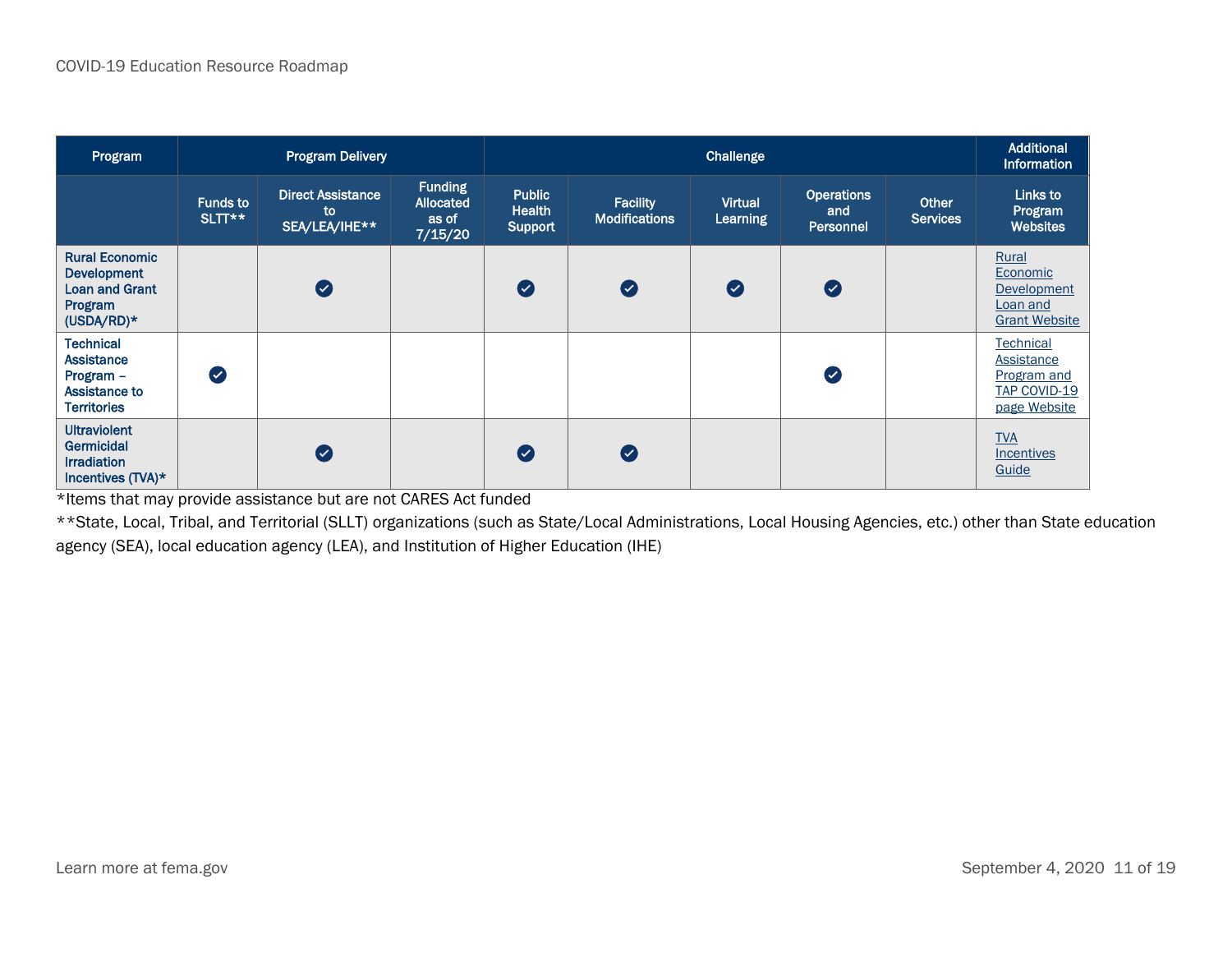| Program                                                                                         | <b>Program Delivery</b>   |                                                 |                                                 |                                           | Additional<br><b>Information</b>        |                            |                                              |                                 |                                                                                             |
|-------------------------------------------------------------------------------------------------|---------------------------|-------------------------------------------------|-------------------------------------------------|-------------------------------------------|-----------------------------------------|----------------------------|----------------------------------------------|---------------------------------|---------------------------------------------------------------------------------------------|
|                                                                                                 | <b>Funds to</b><br>SLTT** | <b>Direct Assistance</b><br>to<br>SEA/LEA/IHE** | <b>Funding</b><br>Allocated<br>as of<br>7/15/20 | <b>Public</b><br><b>Health</b><br>Support | <b>Facility</b><br><b>Modifications</b> | <b>Virtual</b><br>Learning | <b>Operations</b><br>and<br><b>Personnel</b> | <b>Other</b><br><b>Services</b> | Links to<br>Program<br><b>Websites</b>                                                      |
| <b>Rural Economic</b><br><b>Development</b><br><b>Loan and Grant</b><br>Program<br>$(USDA/RD)*$ |                           | Ø                                               |                                                 | $\bullet$                                 | $\bullet$                               | $\bullet$                  | $\bullet$                                    |                                 | Rural<br>Economic<br>Development<br>Loan and<br><b>Grant Website</b>                        |
| <b>Technical</b><br><b>Assistance</b><br>Program -<br>Assistance to<br><b>Territories</b>       | $\bullet$                 |                                                 |                                                 |                                           |                                         |                            | $\bullet$                                    |                                 | <b>Technical</b><br><b>Assistance</b><br>Program and<br><b>TAP COVID-19</b><br>page Website |
| <b>Ultraviolent</b><br>Germicidal<br><b>Irradiation</b><br>Incentives (TVA)*                    |                           | Ø                                               |                                                 | $\bullet$                                 | Ø                                       |                            |                                              |                                 | <b>TVA</b><br>Incentives<br>Guide                                                           |

\*Items that may provide assistance but are not CARES Act funded

\*\*State, Local, Tribal, and Territorial (SLLT) organizations (such as State/Local Administrations, Local Housing Agencies, etc.) other than State education agency (SEA), local education agency (LEA), and Institution of Higher Education (IHE)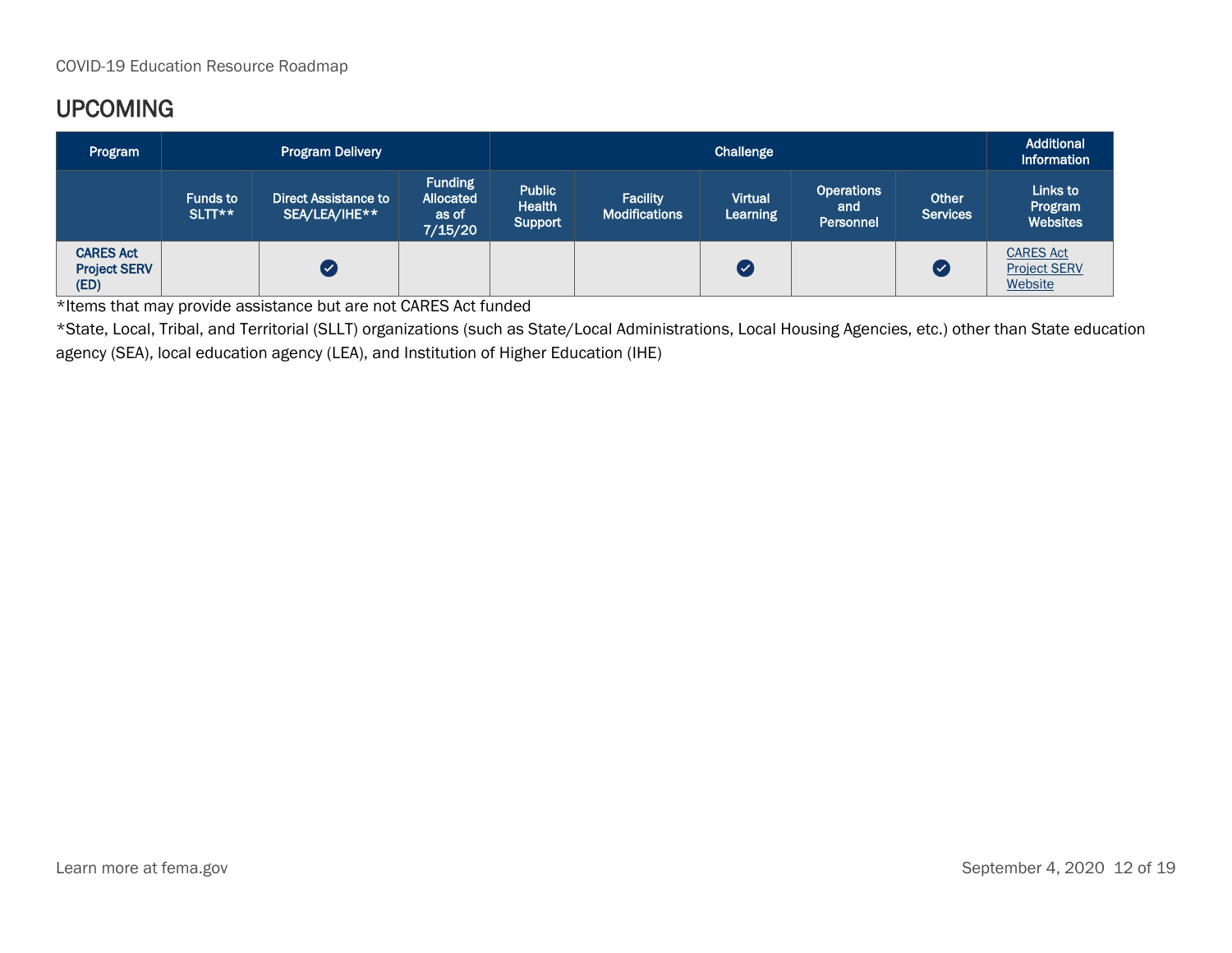### UPCOMING

| Program                                         | <b>Program Delivery</b>   |                                              |                                                 | Challenge                                        |                                  |                            |                                              |                          | Additional<br>Information                          |
|-------------------------------------------------|---------------------------|----------------------------------------------|-------------------------------------------------|--------------------------------------------------|----------------------------------|----------------------------|----------------------------------------------|--------------------------|----------------------------------------------------|
|                                                 | <b>Funds to</b><br>SLTT** | <b>Direct Assistance to</b><br>SEA/LEA/IHE** | <b>Funding</b><br>Allocated<br>as of<br>7/15/20 | <b>Public</b><br><b>Health</b><br><b>Support</b> | Facility<br><b>Modifications</b> | <b>Virtual</b><br>Learning | <b>Operations</b><br>and<br><b>Personnel</b> | Other<br><b>Services</b> | Links to<br>Program<br><b>Websites</b>             |
| <b>CARES Act</b><br><b>Project SERV</b><br>(ED) |                           |                                              |                                                 |                                                  |                                  | ( ✓                        |                                              | ∣ √                      | <b>CARES Act</b><br><b>Project SERV</b><br>Website |

\*Items that may provide assistance but are not CARES Act funded

\*State, Local, Tribal, and Territorial (SLLT) organizations (such as State/Local Administrations, Local Housing Agencies, etc.) other than State education agency (SEA), local education agency (LEA), and Institution of Higher Education (IHE)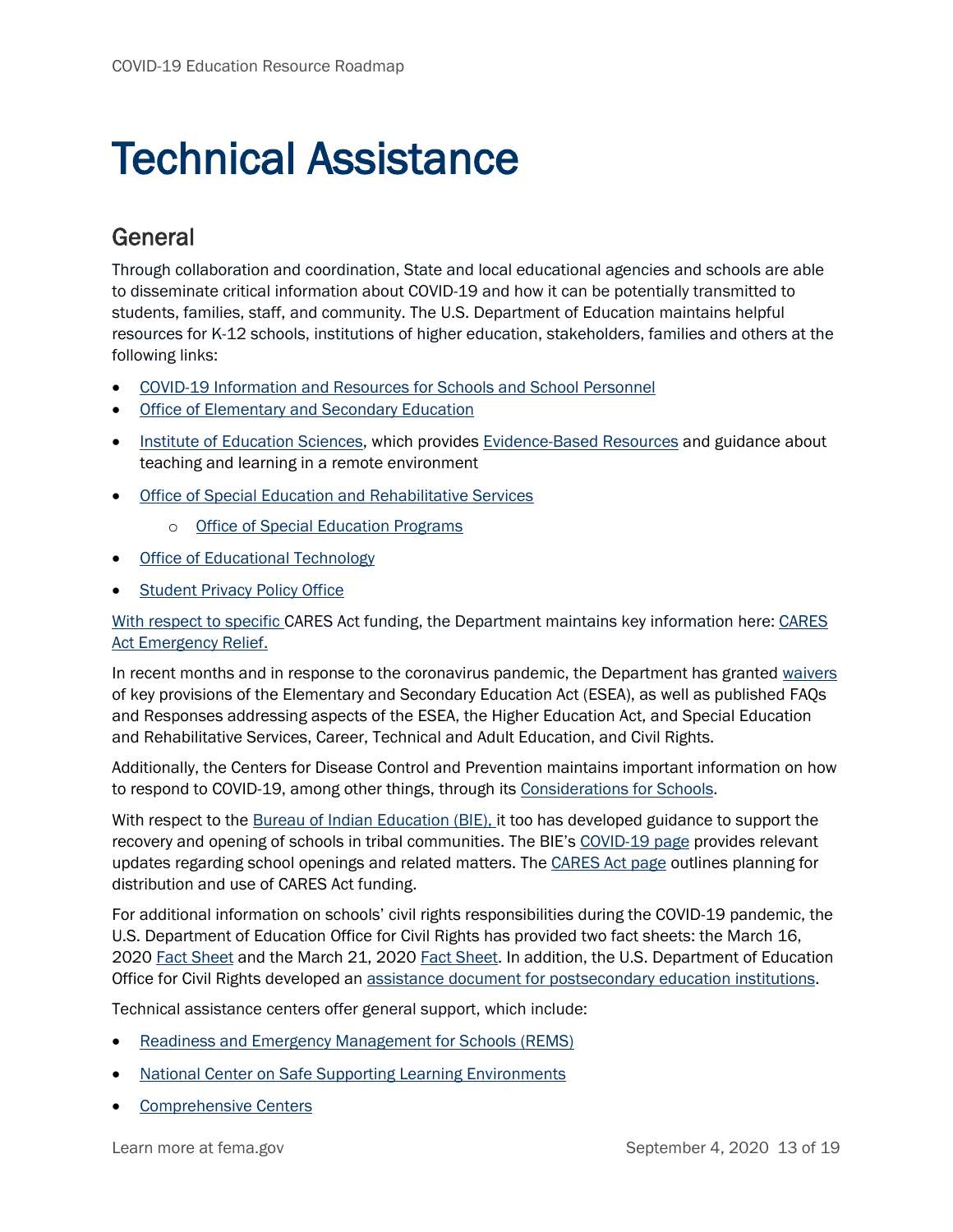### Technical Assistance

#### General

Through collaboration and coordination, State and local educational agencies and schools are able to disseminate critical information about COVID-19 and how it can be potentially transmitted to students, families, staff, and community. The U.S. Department of Education maintains helpful resources for K-12 schools, institutions of higher education, stakeholders, families and others at the following links:

- COVID-19 Information and Resources for Schools and School Personnel
- [Office of Elementary and Secondary Education](https://oese.ed.gov/)
- [Institute of Education Sciences,](https://ies.ed.gov/) which provides [Evidence-Based Resources](https://ies.ed.gov/ncee/edlabs/projects/covid-19/?utm_content=&utm_medium=email&utm_name=&utm_source=govdelivery&utm_term=) and guidance about teaching and learning in a remote environment
- [Office of Special Education and Rehabilitative Services](https://www2.ed.gov/about/offices/list/osers/index.html)
	- o [Office of Special Education Programs](https://www2.ed.gov/about/offices/list/osers/osep/index.html)
- [Office of Educational Technology](https://tech.ed.gov/)
- **[Student Privacy Policy Office](https://studentprivacy.ed.gov/)**

With respect to specific CARES Act funding, the Department maintains key information here[: CARES](https://www.ed.gov/coronavirus/cares-act-emergency-relief)  [Act Emergency Relief.](https://www.ed.gov/coronavirus/cares-act-emergency-relief)

In recent months and in response to the coronavirus pandemic, the Department has granted [waivers](https://www.ed.gov/coronavirus/waivers-and-flexibility) of key provisions of the Elementary and Secondary Education Act (ESEA), as well as published [FAQs](https://www.ed.gov/coronavirus/program-information)  [and Responses](https://www.ed.gov/coronavirus/program-information) addressing aspects of the ESEA, the Higher Education Act, and Special Education and Rehabilitative Services, Career, Technical and Adult Education, and Civil Rights.

Additionally, the Centers for Disease Control and Prevention maintains important information on how to respond to COVID-19, among other things, through its [Considerations for Schools.](https://www.cdc.gov/coronavirus/2019-ncov/community/schools-childcare/index.html)

With respect to the [Bureau of Indian Education \(BIE\),](https://www.bie.edu/) it too has developed guidance to support the recovery and opening of schools in tribal communities. The BIE's [COVID-19 page](https://www.bie.edu/covid-19) provides relevant updates regarding school openings and related matters. The [CARES Act page](https://www.bia.gov/covid-19/cares-act) outlines planning for distribution and use of CARES Act funding.

For additional information on schools' civil rights responsibilities during the COVID-19 pandemic, the U.S. Department of Education Office for Civil Rights has provided two fact sheets: the March 16, 2020 [Fact Sheet](https://www2.ed.gov/about/offices/list/ocr/docs/ocr-coronavirus-fact-sheet.pdf) and the March 21, 2020 [Fact Sheet.](https://www2.ed.gov/about/offices/list/ocr/frontpage/faq/rr/policyguidance/Supple%20Fact%20Sheet%203.21.20%20FINAL.pdf) In addition, the U.S. Department of Education Office for Civil Rights developed an [assistance document for postsecondary education](https://www2.ed.gov/about/offices/list/ocr/docs/20200512-qa-psi-covid-19.pdf) institutions.

Technical assistance centers offer general support, which include:

- [Readiness and Emergency Management for Schools \(REMS\)](https://rems.ed.gov/)
- [National Center on Safe Supporting Learning Environments](https://safesupportivelearning.ed.gov/responding-covid-19-pandemic)
- [Comprehensive Centers](http://www.compcenternetwork.org/)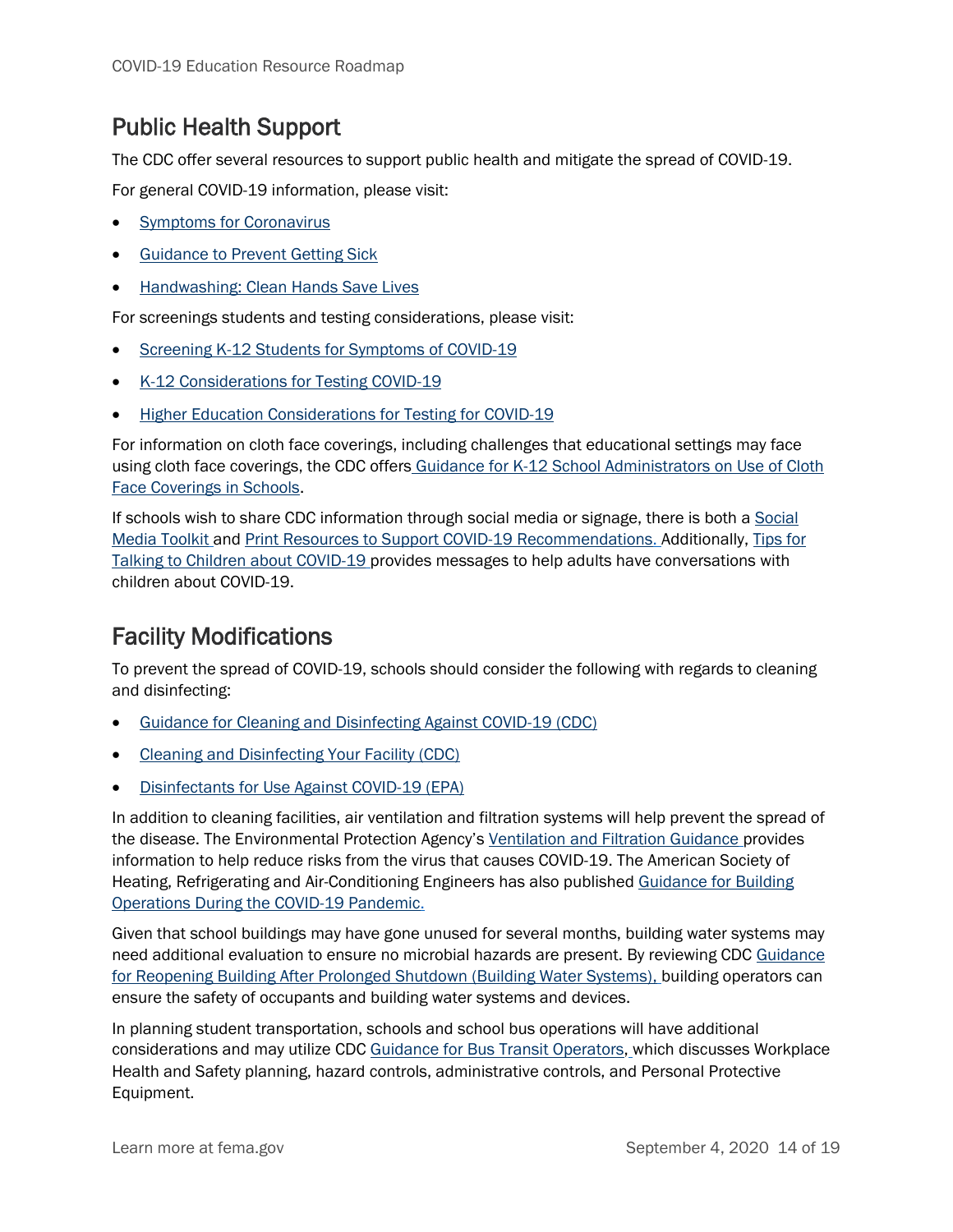#### Public Health Support

The CDC offer several resources to support public health and mitigate the spread of COVID-19.

For general COVID-19 information, please visit:

- **[Symptoms for Coronavirus](https://www.cdc.gov/coronavirus/2019-ncov/symptoms-testing/symptoms.html)**
- [Guidance to Prevent Getting Sick](https://www.cdc.gov/coronavirus/2019-ncov/prevent-getting-sick/index.html)
- [Handwashing: Clean Hands Save Lives](https://www.cdc.gov/handwashing/when-how-handwashing.html)

For screenings students and testing considerations, please visit:

- Screening K-12 Students for Symptoms of COVID-19
- [K-12 Considerations for Testing COVID-19](https://www.cdc.gov/coronavirus/2019-ncov/community/schools-childcare/k-12-testing.html)
- [Higher Education Considerations for Testing for COVID-19](https://www.cdc.gov/coronavirus/2019-ncov/community/colleges-universities/ihe-testing.html)

For information on cloth face coverings, including challenges that educational settings may face using cloth face coverings, the CDC offers [Guidance for K-12 School Administrators on Use of Cloth](https://www.cdc.gov/coronavirus/2019-ncov/community/schools-childcare/cloth-face-cover.html)  [Face Coverings in Schools.](https://www.cdc.gov/coronavirus/2019-ncov/community/schools-childcare/cloth-face-cover.html)

If schools wish to share CDC information through social media or signage, there is both a [Social](https://www.cdc.gov/coronavirus/2019-ncov/communication/social-media-toolkit.html)  [Media Toolkit](https://www.cdc.gov/coronavirus/2019-ncov/communication/social-media-toolkit.html) and [Print Resources to Support COVID-19 Recommendations.](https://www.cdc.gov/coronavirus/2019-ncov/communication/print-resources.html) Additionally, [Tips for](https://www.cdc.gov/coronavirus/2019-ncov/daily-life-coping/talking-with-children.html)  [Talking to Children about COVID-19](https://www.cdc.gov/coronavirus/2019-ncov/daily-life-coping/talking-with-children.html) provides messages to help adults have conversations with children about COVID-19.

#### Facility Modifications

To prevent the spread of COVID-19, schools should consider the following with regards to cleaning and disinfecting:

- [Guidance for Cleaning and Disinfecting Against COVID-19 \(CDC\)](https://www.cdc.gov/coronavirus/2019-ncov/community/cleaning-disinfecting-decision-tool.html)
- [Cleaning and Disinfecting Your Facility \(CDC\)](https://www.cdc.gov/coronavirus/2019-ncov/community/disinfecting-building-facility.html)
- [Disinfectants for Use Against COVID-19 \(EPA\)](https://www.epa.gov/pesticide-registration/list-n-disinfectants-use-against-sars-cov-2-covid-19)

In addition to cleaning facilities, air ventilation and filtration systems will help prevent the spread of the disease. The Environmental Protection Agency's [Ventilation and Filtration Guidance](https://www.epa.gov/coronavirus/where-can-professionals-who-manage-school-office-and-commercial-buildings-get) provides information to help reduce risks from the virus that causes COVID-19. The American Society of Heating, Refrigerating and Air-Conditioning Engineers has also published [Guidance for Building](https://www.ashrae.org/news/ashraejournal/guidance-for-building-operations-during-the-covid-19-pandemic)  [Operations During the COVID-19 Pandemic.](https://www.ashrae.org/news/ashraejournal/guidance-for-building-operations-during-the-covid-19-pandemic)

Given that school buildings may have gone unused for several months, building water systems may need additional evaluation to ensure no microbial hazards are present. By reviewing CDC [Guidance](https://www.cdc.gov/coronavirus/2019-ncov/php/building-water-system.html)  [for Reopening Building After Prolonged Shutdown \(Building Water Systems\),](https://www.cdc.gov/coronavirus/2019-ncov/php/building-water-system.html) building operators can ensure the safety of occupants and building water systems and devices.

In planning student transportation, schools and school bus operations will have additional considerations and may utilize CDC [Guidance for Bus Transit Operators,](https://www.cdc.gov/coronavirus/2019-ncov/community/organizations/bus-transit-operator.html) which discusses Workplace Health and Safety planning, hazard controls, administrative controls, and Personal Protective Equipment.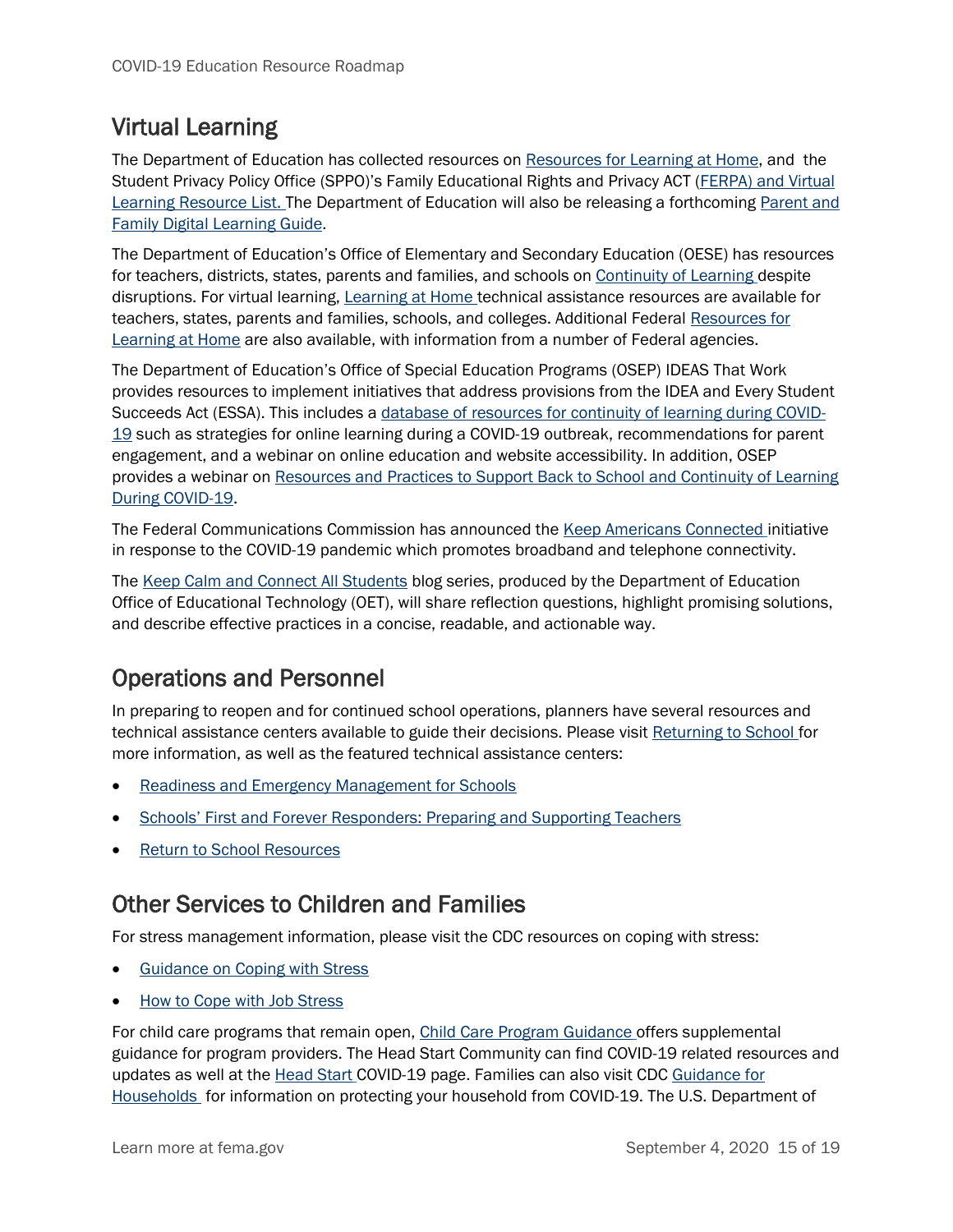#### Virtual Learning

The Department of Education has collected resources on [Resources for Learning at Home,](https://www.ed.gov/coronavirus/resources-for-learning-at-home) and the Student Privacy Policy Office (SPPO)'s [Family Educational Rights and Privacy ACT \(FERPA\)](https://studentprivacy.ed.gov/sites/default/files/resource_document/file/FERPA%20%20Virtual%20Learning%20032020_FINAL.pdf) and Virtual [Learning Resource List.](https://studentprivacy.ed.gov/sites/default/files/resource_document/file/FERPA%20%20Virtual%20Learning%20032020_FINAL.pdf) The Department of Education will also be releasing a forthcoming [Parent and](https://tech.ed.gov/parentDLG)  [Family Digital Learning Guide.](https://tech.ed.gov/parentDLG)

The Department of Education's Office of Elementary and Secondary Education (OESE) has resources for teachers, districts, states, parents and families, and schools on [Continuity of Learning](https://oese.ed.gov/resources/continuity-of-learning/) despite disruptions. For virtual learning, [Learning at Home](https://oese.ed.gov/resources/learning-at-home/) technical assistance resources are available for teachers, states, parents and families, schools, and colleges. Additional Federal Resources for [Learning at Home](https://www.ed.gov/coronavirus/resources-for-learning-at-home) are also available, with information from a number of Federal agencies.

The Department of Education's Office of Special Education Programs (OSEP) IDEAS That Work provides resources to implement initiatives that address provisions from the IDEA and Every Student Succeeds Act (ESSA). This includes a [database of resources for continuity of learning during COVID-](https://osepideasthatwork.org/continuity-learning-during-covid-19-resource-database)[19](https://osepideasthatwork.org/continuity-learning-during-covid-19-resource-database) such as strategies for online learning during a COVID-19 outbreak, recommendations for parent engagement, and a webinar on online education and website accessibility. In addition, OSEP provides a webinar on [Resources and Practices to Support Back to School and Continuity of Learning](https://osepideasthatwork.org/continuity-learning-during-covid-19)  [During COVID-19.](https://osepideasthatwork.org/continuity-learning-during-covid-19)

The Federal Communications Commission has announced the [Keep Americans Connected](https://www.fcc.gov/keep-americans-connected) initiative in response to the COVID-19 pandemic which promotes broadband and telephone connectivity.

The [Keep Calm and Connect All Students](https://medium.com/keep-calm-and-connect-all-students) blog series, produced by the Department of Education Office of Educational Technology (OET), will share reflection questions, highlight promising solutions, and describe effective practices in a concise, readable, and actionable way.

#### Operations and Personnel

In preparing to reopen and for continued school operations, planners have several resources and technical assistance centers available to guide their decisions. Please visit [Returning to School](https://oese.ed.gov/resources/returning-to-school/) for more information, as well as the featured technical assistance centers:

- [Readiness and Emergency Management for Schools](https://rems.ed.gov/)
- [Schools' First and Forever Responders: Preparing and Supporting Teach](https://compcenternetwork.org/sites/default/files/archive/TeacherSupportBrief-FINAL.pdf)ers
- [Return to School Resources](https://www.compcenternetwork.org/sites/default/files/Returning%20to%20School%20Toolkit%20for%20Principals.pdf)

#### Other Services to Children and Families

For stress management information, please visit the CDC resources on coping with stress:

- [Guidance on Coping with Stress](https://www.cdc.gov/coronavirus/2019-ncov/daily-life-coping/managing-stress-anxiety.html)
- [How to Cope with Job Stress](https://www.cdc.gov/coronavirus/2019-ncov/community/mental-health-non-healthcare.html)

For child care programs that remain open, [Child Care Program Guidance](https://www.cdc.gov/coronavirus/2019-ncov/community/schools-childcare/guidance-for-childcare.html) offers supplemental guidance for program providers. The Head Start Community can find COVID-19 related resources and updates as well at the [Head Start](https://eclkc.ohs.acf.hhs.gov/about-us/coronavirus/ohs-covid-19-updates) COVID-19 page. Families can also visit CDC [Guidance for](https://www.cdc.gov/coronavirus/2019-ncov/daily-life-coping/checklist-household-ready.html)  [Households](https://www.cdc.gov/coronavirus/2019-ncov/daily-life-coping/checklist-household-ready.html) for information on protecting your household from COVID-19. The U.S. Department of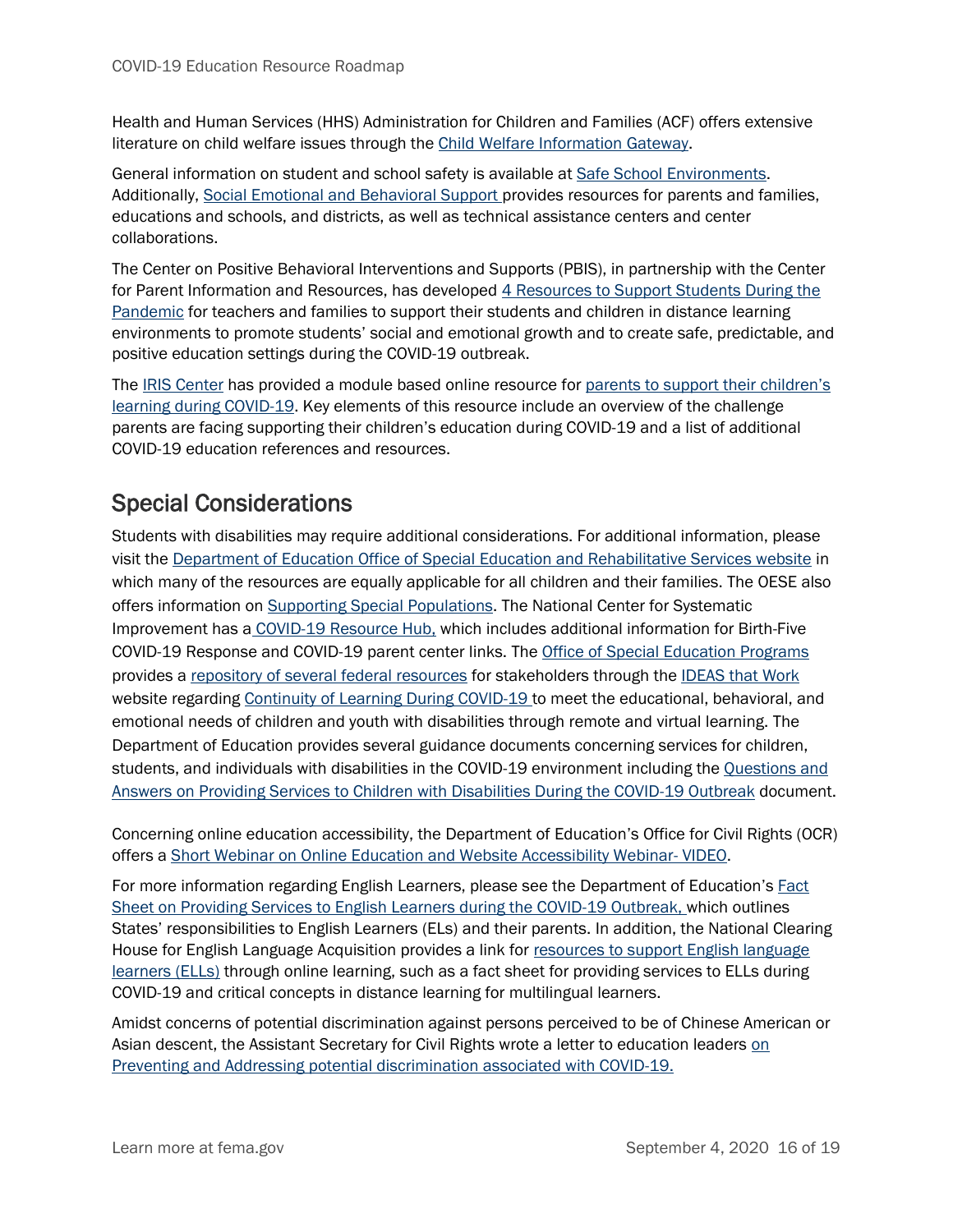Health and Human Services (HHS) Administration for Children and Families (ACF) offers extensive literature on child welfare issues through the [Child Welfare Information Gateway.](https://www.childwelfare.gov/)

General information on student and school safety is available at [Safe School Environments.](https://oese.ed.gov/resources/safe-school-environments/) Additionally, [Social Emotional and Behavioral Support](https://oese.ed.gov/resources/social-emotional-behavioral-support/) provides resources for parents and families, educations and schools, and districts, as well as technical assistance centers and center collaborations.

The Center on Positive Behavioral Interventions and Supports (PBIS), in partnership with the Center for Parent Information and Resources, has developed 4 Resources to Support Students During the [Pandemic](https://www.pbis.org/announcements/4-resources-to-support-students-during-the-pandemic?utm_content=&utm_medium=email&utm_name=&utm_source=govdelivery&utm_term=) for teachers and families to support their students and children in distance learning environments to promote students' social and emotional growth and to create safe, predictable, and positive education settings during the COVID-19 outbreak.

The [IRIS Center](https://iris.peabody.vanderbilt.edu/) has provided a module based online resource for parents to support their children's [learning during COVID-19.](https://iris.peabody.vanderbilt.edu/module/c19/) Key elements of this resource include an overview of the challenge parents are facing supporting their children's education during COVID-19 and a list of additional COVID-19 education references and resources.

#### Special Considerations

Students with disabilities may require additional considerations. For additional information, please visit the [Department of Education Office of Special Education and Rehabilitative Services website](https://www2.ed.gov/about/offices/list/osers/index.html) in which many of the resources are equally applicable for all children and their families. The OESE also offers information on [Supporting Special Populations.](https://oese.ed.gov/resources/supporting-special-populations/) The National Center for Systematic Improvement has a [COVID-19 Resource Hub,](https://ncsi.wested.org/) which includes additional information for Birth-Five COVID-19 Response and COVID-19 parent center links. The [Office of Special Education Programs](https://www2.ed.gov/about/offices/list/osers/osep/index.html) provides a [repository of several federal resources](https://osepideasthatwork.org/continuity-learning-during-covid-19-resource-database) for stakeholders through the [IDEAS that Work](https://osepideasthatwork.org/) website regarding [Continuity of Learning During COVID-19 t](https://osepideasthatwork.org/continuity-learning-during-covid-19)o meet the educational, behavioral, and emotional needs of children and youth with disabilities through remote and virtual learning. The Department of Education provides several guidance documents concerning services for children, students, and individuals with disabilities in the COVID-19 environment including the Questions and [Answers on Providing Services to Children with Disabilities During the COVID-19 Outbreak](https://www2.ed.gov/policy/speced/guid/idea/memosdcltrs/qa-covid-19-03-12-2020.pdf) document.

Concerning online education accessibility, the Department of Education's Office for Civil Rights (OCR) offers a [Short Webinar on Online Education and Website Accessibility Webinar-](https://www.youtube.com/watch?v=DCMLk4cES6A) VIDEO.

For more information regarding English Learners, please see the Department of Education's [Fact](https://www2.ed.gov/documents/coronavirus/covid-19-el-factsheet.pdf)  [Sheet on Providing Services to English Learners during the COVID-19 Outbreak,](https://www2.ed.gov/documents/coronavirus/covid-19-el-factsheet.pdf) which outlines States' responsibilities to English Learners (ELs) and their parents. In addition, the National Clearing House for English Language Acquisition provides a link for resources to support English language [learners \(ELLs\)](https://ncela.ed.gov/new-ensuring-continuity-learning-and-operations/sub-page1) through online learning, such as a fact sheet for providing services to ELLs during COVID-19 and critical concepts in distance learning for multilingual learners.

Amidst concerns of potential discrimination against persons perceived to be of Chinese American or Asian descent, the Assistant Secretary for Civil Rights wrote a letter to education leaders on [Preventing and Addressing potential discrimination associated with COVID-19.](https://content.govdelivery.com/accounts/USED/bulletins/27f5130)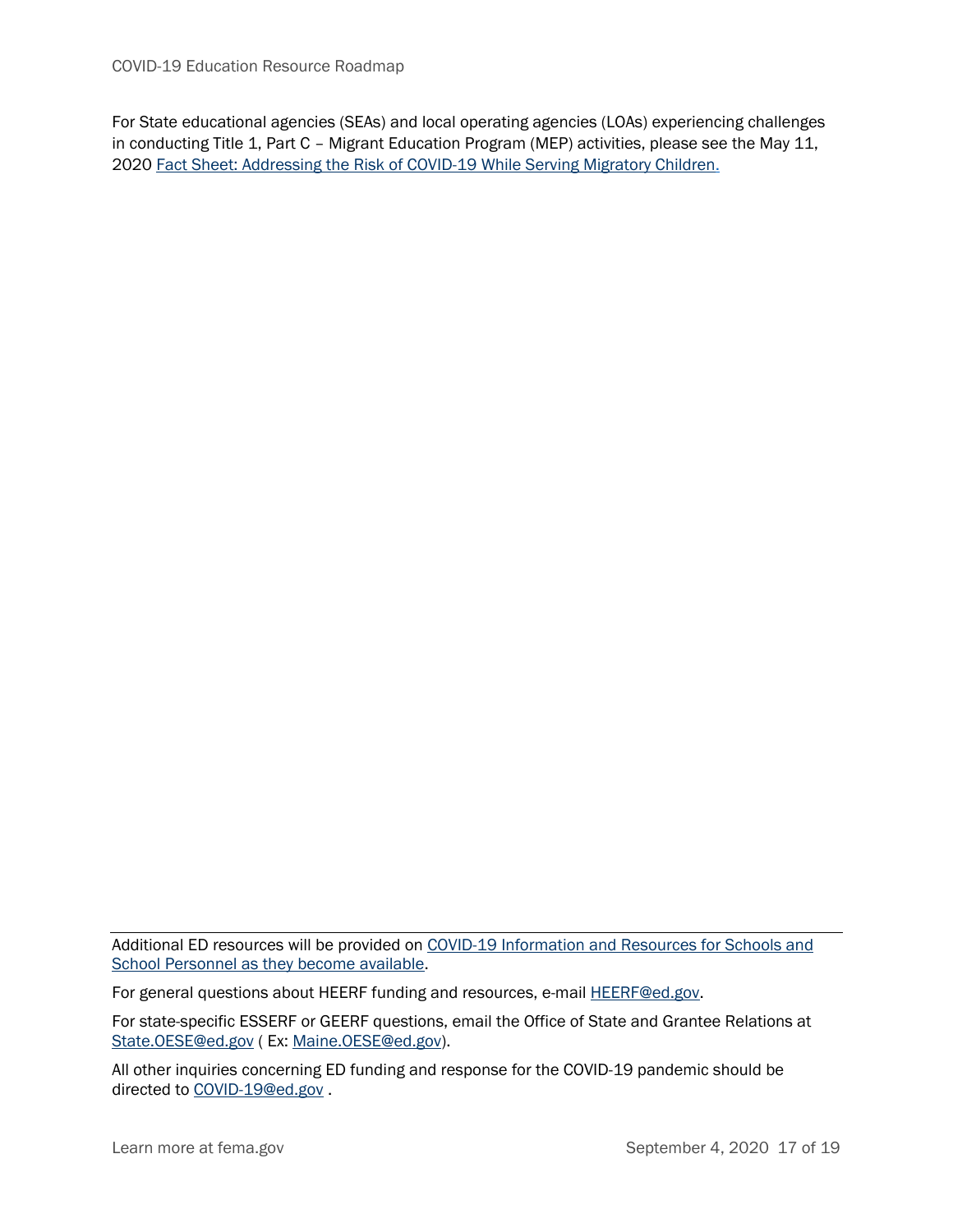For State educational agencies (SEAs) and local operating agencies (LOAs) experiencing challenges in conducting Title 1, Part C – Migrant Education Program (MEP) activities, please see the May 11, 2020 [Fact Sheet: Addressing the Risk of COVID-19 While Serving Migratory Children.](https://results-assets.s3.amazonaws.com/legislation/COVID-19_MEP_Fact_Sheet.pdf)

Additional ED resources will be provided on [COVID-19 Information and Resources for Schools and](https://www.ed.gov/coronavirus)  [School Personnel as they become available.](https://www.ed.gov/coronavirus)

For general questions about HEERF funding and resources, e-mail [HEERF@ed.gov.](mailto:HEERF@ed.gov)

For state-specific ESSERF or GEERF questions, email the Office of State and Grantee Relations at [State.OESE@ed.gov](mailto:State.OESE@ed.gov) ( Ex: [Maine.OESE@ed.gov\)](mailto:Maine.OESE@ed.gov).

All other inquiries concerning ED funding and response for the COVID-19 pandemic should be directed to [COVID-19@ed.gov](mailto:COVID-19@ed.gov) .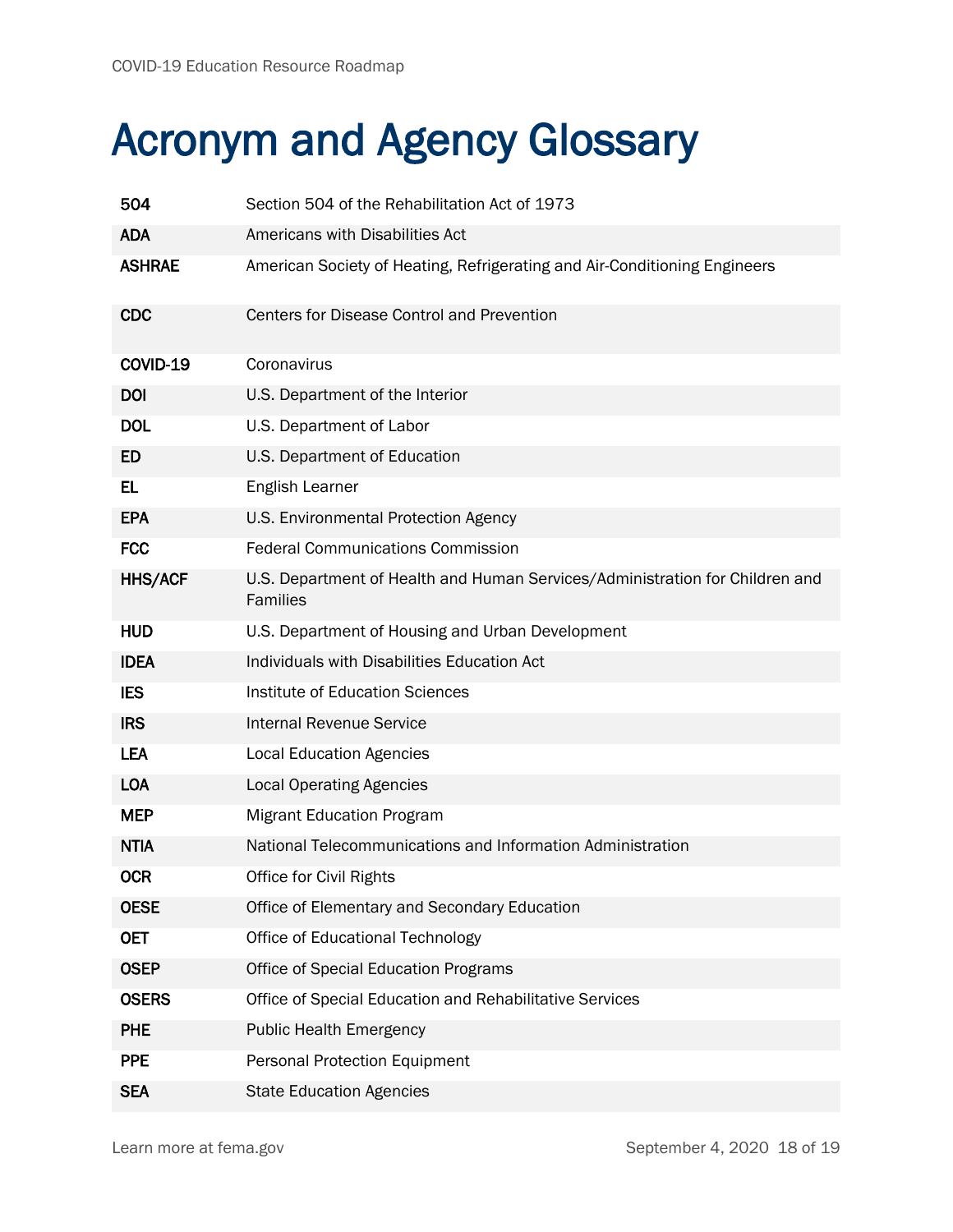## Acronym and Agency Glossary

| 504            | Section 504 of the Rehabilitation Act of 1973                                            |
|----------------|------------------------------------------------------------------------------------------|
| <b>ADA</b>     | Americans with Disabilities Act                                                          |
| <b>ASHRAE</b>  | American Society of Heating, Refrigerating and Air-Conditioning Engineers                |
| <b>CDC</b>     | <b>Centers for Disease Control and Prevention</b>                                        |
| COVID-19       | Coronavirus                                                                              |
| <b>DOI</b>     | U.S. Department of the Interior                                                          |
| <b>DOL</b>     | U.S. Department of Labor                                                                 |
| <b>ED</b>      | U.S. Department of Education                                                             |
| EL.            | English Learner                                                                          |
| <b>EPA</b>     | U.S. Environmental Protection Agency                                                     |
| <b>FCC</b>     | <b>Federal Communications Commission</b>                                                 |
| <b>HHS/ACF</b> | U.S. Department of Health and Human Services/Administration for Children and<br>Families |
| <b>HUD</b>     | U.S. Department of Housing and Urban Development                                         |
| <b>IDEA</b>    | Individuals with Disabilities Education Act                                              |
| <b>IES</b>     | Institute of Education Sciences                                                          |
| <b>IRS</b>     | <b>Internal Revenue Service</b>                                                          |
| <b>LEA</b>     | <b>Local Education Agencies</b>                                                          |
| <b>LOA</b>     | <b>Local Operating Agencies</b>                                                          |
| <b>MEP</b>     | <b>Migrant Education Program</b>                                                         |
| <b>NTIA</b>    | National Telecommunications and Information Administration                               |
| <b>OCR</b>     | Office for Civil Rights                                                                  |
| <b>OESE</b>    | Office of Elementary and Secondary Education                                             |
| <b>OET</b>     | Office of Educational Technology                                                         |
| <b>OSEP</b>    | Office of Special Education Programs                                                     |
| <b>OSERS</b>   | Office of Special Education and Rehabilitative Services                                  |
| <b>PHE</b>     | <b>Public Health Emergency</b>                                                           |
| <b>PPE</b>     | <b>Personal Protection Equipment</b>                                                     |
| <b>SEA</b>     | <b>State Education Agencies</b>                                                          |